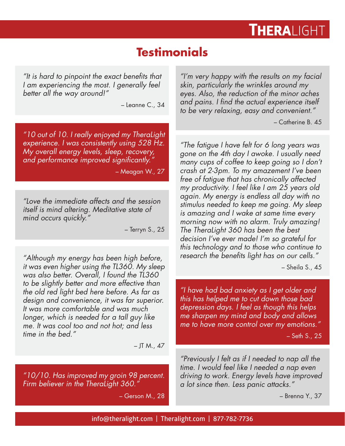## **THERALIGHT**

## **Testimonials**

*"It is hard to pinpoint the exact benefits that I am experiencing the most. I generally feel better all the way around!"*

– Leanne C., 34

*"10 out of 10. I really enjoyed my TheraLight experience. I was consistently using 528 Hz. My overall energy levels, sleep, recovery, and performance improved significantly."*

– Meagan W., 27

*"Love the immediate affects and the session itself is mind altering. Meditative state of mind occurs quickly."*

– Terryn S., 25

*"Although my energy has been high before, it was even higher using the TL360. My sleep was also better. Overall, I found the TL360 to be slightly better and more effective than the old red light bed here before. As far as design and convenience, it was far superior. It was more comfortable and was much longer, which is needed for a tall guy like me. It was cool too and not hot; and less time in the bed."*

 $-$  JT M., 47

*"10/10. Has improved my groin 98 percent. Firm believer in the TheraLight 360."*

– Gerson M., 28

*"I'm very happy with the results on my facial skin, particularly the wrinkles around my eyes. Also, the reduction of the minor aches and pains. I find the actual experience itself to be very relaxing, easy and convenient."*

– Catherine B. 45

*"The fatigue I have felt for 6 long years was gone on the 4th day I awoke. I usually need many cups of coffee to keep going so I don't crash at 2-3pm. To my amazement I've been free of fatigue that has chronically affected my productivity. I feel like I am 25 years old again. My energy is endless all day with no stimulus needed to keep me going. My sleep is amazing and I wake at same time every morning now with no alarm. Truly amazing! The TheraLight 360 has been the best decision I've ever made! I'm so grateful for this technology and to those who continue to research the benefits light has on our cells."*

– Sheila S., 45

*"I have had bad anxiety as I get older and this has helped me to cut down those bad depression days. I feel as though this helps me sharpen my mind and body and allows me to have more control over my emotions."*

– Seth S., 25

*"Previously I felt as if I needed to nap all the time. I would feel like I needed a nap even driving to work. Energy levels have improved a lot since then. Less panic attacks."*

– Brenna Y., 37